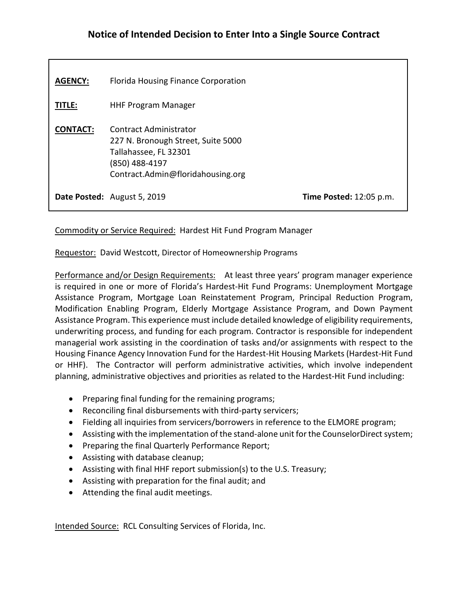## **Notice of Intended Decision to Enter Into a Single Source Contract**

| <b>AGENCY:</b>  | <b>Florida Housing Finance Corporation</b>                                                                                                   |                                |
|-----------------|----------------------------------------------------------------------------------------------------------------------------------------------|--------------------------------|
| TITLE:          | <b>HHF Program Manager</b>                                                                                                                   |                                |
| <b>CONTACT:</b> | Contract Administrator<br>227 N. Bronough Street, Suite 5000<br>Tallahassee, FL 32301<br>(850) 488-4197<br>Contract.Admin@floridahousing.org |                                |
|                 | Date Posted: August 5, 2019                                                                                                                  | <b>Time Posted: 12:05 p.m.</b> |

Commodity or Service Required: Hardest Hit Fund Program Manager

Requestor: David Westcott, Director of Homeownership Programs

Performance and/or Design Requirements: At least three years' program manager experience is required in one or more of Florida's Hardest-Hit Fund Programs: Unemployment Mortgage Assistance Program, Mortgage Loan Reinstatement Program, Principal Reduction Program, Modification Enabling Program, Elderly Mortgage Assistance Program, and Down Payment Assistance Program. This experience must include detailed knowledge of eligibility requirements, underwriting process, and funding for each program. Contractor is responsible for independent managerial work assisting in the coordination of tasks and/or assignments with respect to the Housing Finance Agency Innovation Fund for the Hardest-Hit Housing Markets (Hardest-Hit Fund or HHF). The Contractor will perform administrative activities, which involve independent planning, administrative objectives and priorities as related to the Hardest-Hit Fund including:

- Preparing final funding for the remaining programs;
- Reconciling final disbursements with third-party servicers;
- Fielding all inquiries from servicers/borrowers in reference to the ELMORE program;
- Assisting with the implementation of the stand-alone unit for the CounselorDirect system;
- Preparing the final Quarterly Performance Report;
- Assisting with database cleanup;
- Assisting with final HHF report submission(s) to the U.S. Treasury;
- Assisting with preparation for the final audit; and
- Attending the final audit meetings.

Intended Source: RCL Consulting Services of Florida, Inc.